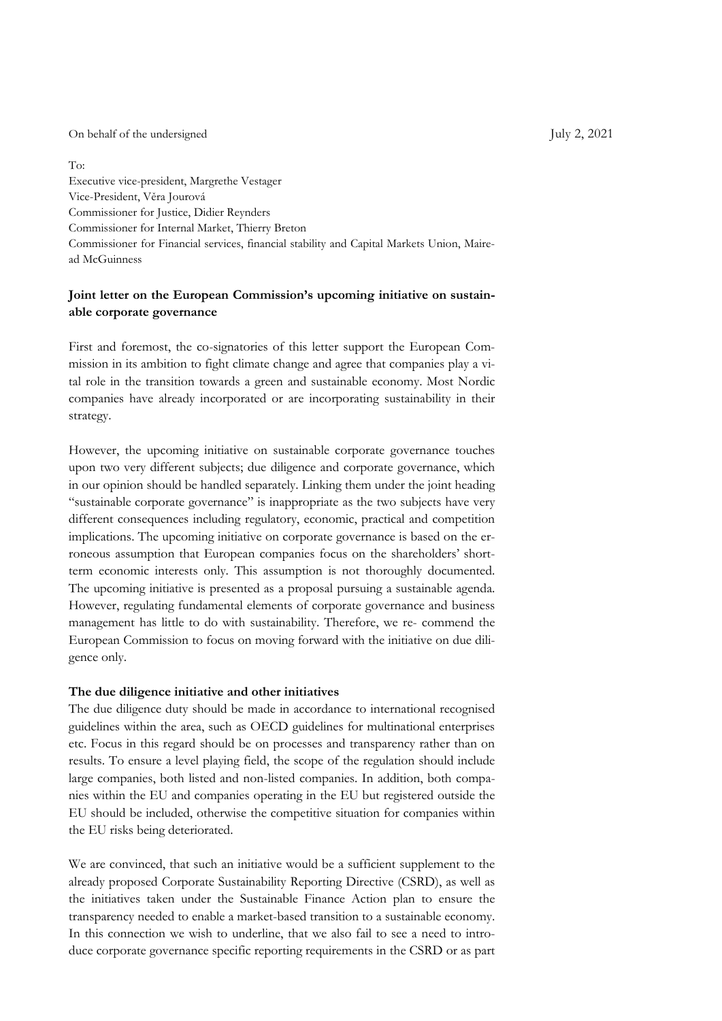On behalf of the undersigned July 2, 2021

To: Executive vice-president, Margrethe Vestager Vice-President, Věra Jourová Commissioner for Justice, Didier Reynders Commissioner for Internal Market, Thierry Breton Commissioner for Financial services, financial stability and Capital Markets Union, Mairead McGuinness

## **Joint letter on the European Commission's upcoming initiative on sustainable corporate governance**

First and foremost, the co-signatories of this letter support the European Commission in its ambition to fight climate change and agree that companies play a vital role in the transition towards a green and sustainable economy. Most Nordic companies have already incorporated or are incorporating sustainability in their strategy.

However, the upcoming initiative on sustainable corporate governance touches upon two very different subjects; due diligence and corporate governance, which in our opinion should be handled separately. Linking them under the joint heading "sustainable corporate governance" is inappropriate as the two subjects have very different consequences including regulatory, economic, practical and competition implications. The upcoming initiative on corporate governance is based on the erroneous assumption that European companies focus on the shareholders' shortterm economic interests only. This assumption is not thoroughly documented. The upcoming initiative is presented as a proposal pursuing a sustainable agenda. However, regulating fundamental elements of corporate governance and business management has little to do with sustainability. Therefore, we re- commend the European Commission to focus on moving forward with the initiative on due diligence only.

### **The due diligence initiative and other initiatives**

The due diligence duty should be made in accordance to international recognised guidelines within the area, such as OECD guidelines for multinational enterprises etc. Focus in this regard should be on processes and transparency rather than on results. To ensure a level playing field, the scope of the regulation should include large companies, both listed and non-listed companies. In addition, both companies within the EU and companies operating in the EU but registered outside the EU should be included, otherwise the competitive situation for companies within the EU risks being deteriorated.

We are convinced, that such an initiative would be a sufficient supplement to the already proposed Corporate Sustainability Reporting Directive (CSRD), as well as the initiatives taken under the Sustainable Finance Action plan to ensure the transparency needed to enable a market-based transition to a sustainable economy. In this connection we wish to underline, that we also fail to see a need to introduce corporate governance specific reporting requirements in the CSRD or as part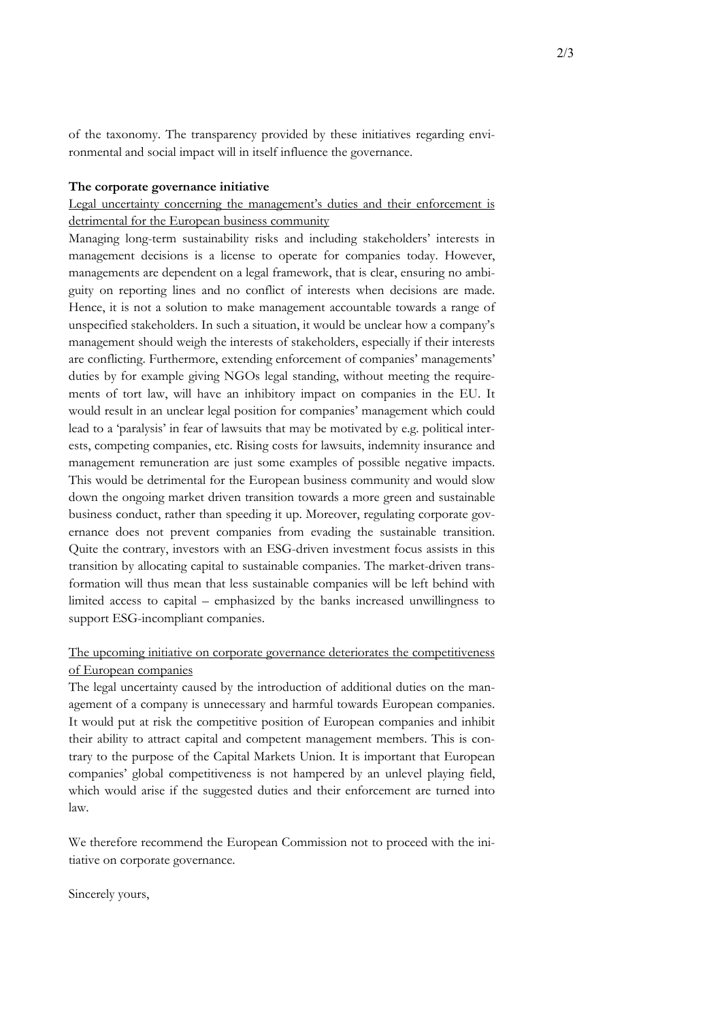of the taxonomy. The transparency provided by these initiatives regarding environmental and social impact will in itself influence the governance.

#### **The corporate governance initiative**

# Legal uncertainty concerning the management's duties and their enforcement is detrimental for the European business community

Managing long-term sustainability risks and including stakeholders' interests in management decisions is a license to operate for companies today. However, managements are dependent on a legal framework, that is clear, ensuring no ambiguity on reporting lines and no conflict of interests when decisions are made. Hence, it is not a solution to make management accountable towards a range of unspecified stakeholders. In such a situation, it would be unclear how a company's management should weigh the interests of stakeholders, especially if their interests are conflicting. Furthermore, extending enforcement of companies' managements' duties by for example giving NGOs legal standing, without meeting the requirements of tort law, will have an inhibitory impact on companies in the EU. It would result in an unclear legal position for companies' management which could lead to a 'paralysis' in fear of lawsuits that may be motivated by e.g. political interests, competing companies, etc. Rising costs for lawsuits, indemnity insurance and management remuneration are just some examples of possible negative impacts. This would be detrimental for the European business community and would slow down the ongoing market driven transition towards a more green and sustainable business conduct, rather than speeding it up. Moreover, regulating corporate governance does not prevent companies from evading the sustainable transition. Quite the contrary, investors with an ESG-driven investment focus assists in this transition by allocating capital to sustainable companies. The market-driven transformation will thus mean that less sustainable companies will be left behind with limited access to capital – emphasized by the banks increased unwillingness to support ESG-incompliant companies.

### The upcoming initiative on corporate governance deteriorates the competitiveness of European companies

The legal uncertainty caused by the introduction of additional duties on the management of a company is unnecessary and harmful towards European companies. It would put at risk the competitive position of European companies and inhibit their ability to attract capital and competent management members. This is contrary to the purpose of the Capital Markets Union. It is important that European companies' global competitiveness is not hampered by an unlevel playing field, which would arise if the suggested duties and their enforcement are turned into law.

We therefore recommend the European Commission not to proceed with the initiative on corporate governance.

Sincerely yours,